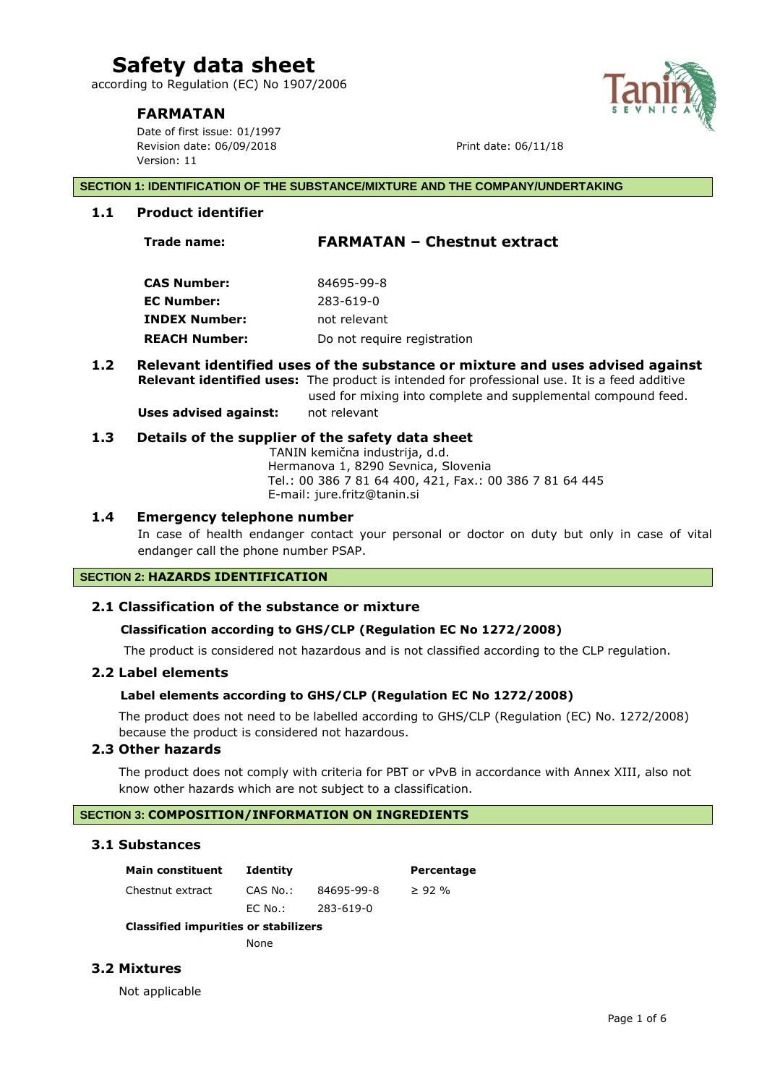according to Regulation (EC) No 1907/2006

# **FARMATAN**

Date of first issue: 01/1997 Revision date: 06/09/2018 **Print date: 06/11/18** Version: 11

#### **SECTION 1: IDENTIFICATION OF THE SUBSTANCE/MIXTURE AND THE COMPANY/UNDERTAKING**

#### **1.1 Product identifier**

# **Trade name: FARMATAN – Chestnut extract**

| CAS Number:          | 84695-99-8                  |
|----------------------|-----------------------------|
| EC Number:           | 283-619-0                   |
| INDEX Number:        | not relevant                |
| <b>REACH Number:</b> | Do not require registration |

#### **1.2 Relevant identified uses of the substance or mixture and uses advised against Relevant identified uses:** The product is intended for professional use. It is a feed additive used for mixing into complete and supplemental compound feed.

**Uses advised against:** not relevant

#### **1.3 Details of the supplier of the safety data sheet**

 TANIN kemična industrija, d.d. Hermanova 1, 8290 Sevnica, Slovenia Tel.: 00 386 7 81 64 400, 421, Fax.: 00 386 7 81 64 445 E-mail: jure.fritz@tanin.si

### **1.4 Emergency telephone number**

In case of health endanger contact your personal or doctor on duty but only in case of vital endanger call the phone number PSAP.

#### **SECTION 2: HAZARDS IDENTIFICATION**

#### **2.1 Classification of the substance or mixture**

#### **Classification according to GHS/CLP (Regulation EC No 1272/2008)**

The product is considered not hazardous and is not classified according to the CLP regulation.

#### **2.2 Label elements**

# **Label elements according to GHS/CLP (Regulation EC No 1272/2008)**

The product does not need to be labelled according to GHS/CLP (Regulation (EC) No. 1272/2008) because the product is considered not hazardous.

# **2.3 Other hazards**

The product does not comply with criteria for PBT or vPvB in accordance with Annex XIII, also not know other hazards which are not subject to a classification.

# **SECTION 3: COMPOSITION/INFORMATION ON INGREDIENTS**

#### **3.1 Substances**

| <b>Main constituent</b>             | <b>Identity</b> |            | Percentage |
|-------------------------------------|-----------------|------------|------------|
| Chestnut extract                    | CAS No.:        | 84695-99-8 | $>92\%$    |
|                                     | EC No.:         | 283-619-0  |            |
| Classified immulties an stabilizers |                 |            |            |

#### **Classified impurities or stabilizers**

None

# **3.2 Mixtures**

Not applicable

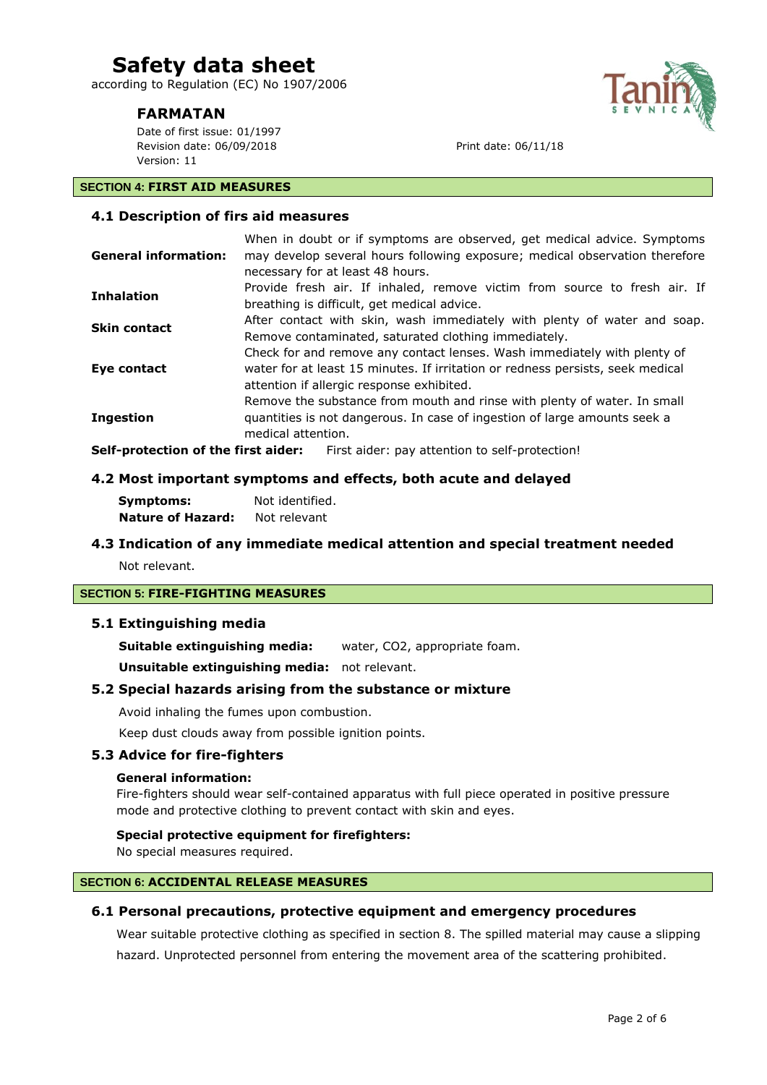according to Regulation (EC) No 1907/2006

# **FARMATAN**

Date of first issue: 01/1997 Revision date: 06/09/2018 Print date: 06/11/18 Version: 11

### **SECTION 4: FIRST AID MEASURES**

## **4.1 Description of firs aid measures**

| <b>General information:</b> | When in doubt or if symptoms are observed, get medical advice. Symptoms<br>may develop several hours following exposure; medical observation therefore<br>necessary for at least 48 hours.              |
|-----------------------------|---------------------------------------------------------------------------------------------------------------------------------------------------------------------------------------------------------|
| <b>Inhalation</b>           | Provide fresh air. If inhaled, remove victim from source to fresh air. If<br>breathing is difficult, get medical advice.                                                                                |
| <b>Skin contact</b>         | After contact with skin, wash immediately with plenty of water and soap.<br>Remove contaminated, saturated clothing immediately.                                                                        |
| Eye contact                 | Check for and remove any contact lenses. Wash immediately with plenty of<br>water for at least 15 minutes. If irritation or redness persists, seek medical<br>attention if allergic response exhibited. |
| <b>Ingestion</b>            | Remove the substance from mouth and rinse with plenty of water. In small<br>quantities is not dangerous. In case of ingestion of large amounts seek a<br>medical attention.                             |
|                             | Calf anatastian af tha finst aidem — Fint aidem sen attention to self suctastiant                                                                                                                       |

**Self-protection of the first aider:** First aider: pay attention to self-protection!

#### **4.2 Most important symptoms and effects, both acute and delayed**

| Symptoms:                | Not identified. |
|--------------------------|-----------------|
| <b>Nature of Hazard:</b> | Not relevant    |

# **4.3 Indication of any immediate medical attention and special treatment needed**

Not relevant.

#### **SECTION 5: FIRE-FIGHTING MEASURES**

#### **5.1 Extinguishing media**

**Suitable extinguishing media:** water, CO2, appropriate foam.

**Unsuitable extinguishing media:** not relevant.

#### **5.2 Special hazards arising from the substance or mixture**

Avoid inhaling the fumes upon combustion.

Keep dust clouds away from possible ignition points.

#### **5.3 Advice for fire-fighters**

#### **General information:**

Fire-fighters should wear self-contained apparatus with full piece operated in positive pressure mode and protective clothing to prevent contact with skin and eyes.

#### **Special protective equipment for firefighters:**

No special measures required.

# **SECTION 6: ACCIDENTAL RELEASE MEASURES**

#### **6.1 Personal precautions, protective equipment and emergency procedures**

Wear suitable protective clothing as specified in section 8. The spilled material may cause a slipping hazard. Unprotected personnel from entering the movement area of the scattering prohibited.

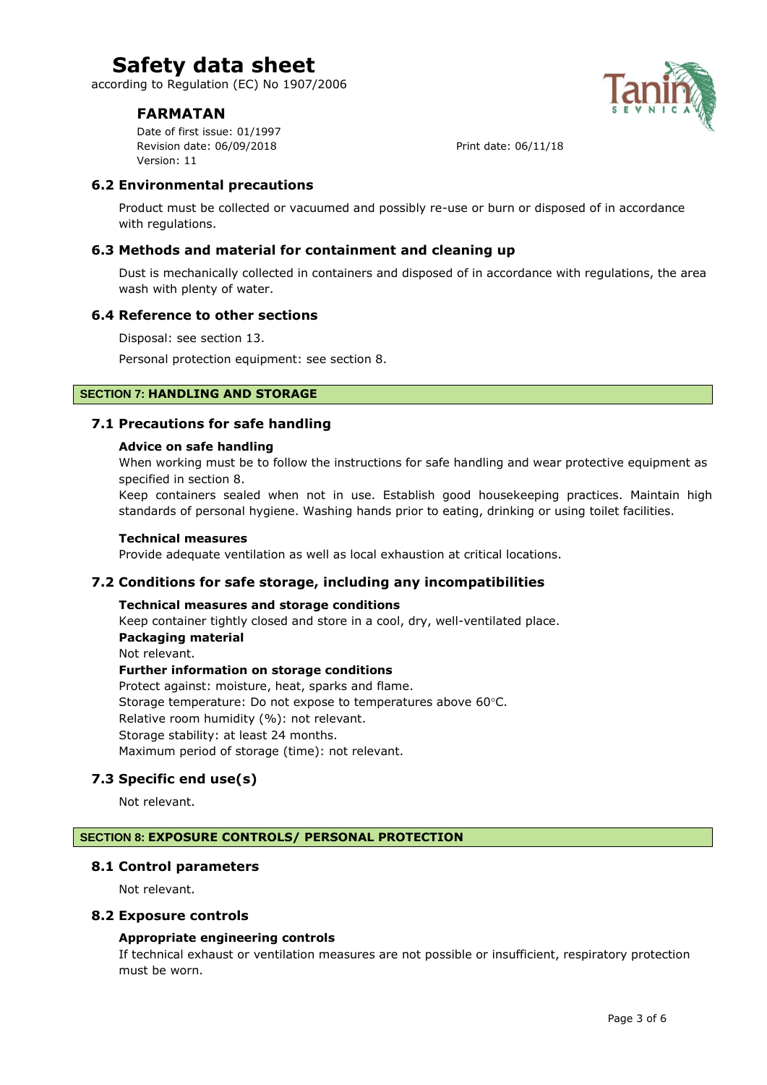according to Regulation (EC) No 1907/2006

# **FARMATAN**

Date of first issue: 01/1997 Revision date: 06/09/2018 **Print date: 06/11/18** Version: 11



# **6.2 Environmental precautions**

Product must be collected or vacuumed and possibly re-use or burn or disposed of in accordance with regulations.

# **6.3 Methods and material for containment and cleaning up**

Dust is mechanically collected in containers and disposed of in accordance with regulations, the area wash with plenty of water.

#### **6.4 Reference to other sections**

Disposal: see section 13.

Personal protection equipment: see section 8.

# **SECTION 7: HANDLING AND STORAGE**

#### **7.1 Precautions for safe handling**

#### **Advice on safe handling**

When working must be to follow the instructions for safe handling and wear protective equipment as specified in section 8.

Keep containers sealed when not in use. Establish good housekeeping practices. Maintain high standards of personal hygiene. Washing hands prior to eating, drinking or using toilet facilities.

#### **Technical measures**

Provide adequate ventilation as well as local exhaustion at critical locations.

# **7.2 Conditions for safe storage, including any incompatibilities**

#### **Technical measures and storage conditions**

Keep container tightly closed and store in a cool, dry, well-ventilated place. **Packaging material**

# Not relevant.

**Further information on storage conditions** Protect against: moisture, heat, sparks and flame. Storage temperature: Do not expose to temperatures above 60°C. Relative room humidity (%): not relevant. Storage stability: at least 24 months. Maximum period of storage (time): not relevant.

# **7.3 Specific end use(s)**

Not relevant.

#### **SECTION 8: EXPOSURE CONTROLS/ PERSONAL PROTECTION**

#### **8.1 Control parameters**

Not relevant.

#### **8.2 Exposure controls**

#### **Appropriate engineering controls**

If technical exhaust or ventilation measures are not possible or insufficient, respiratory protection must be worn.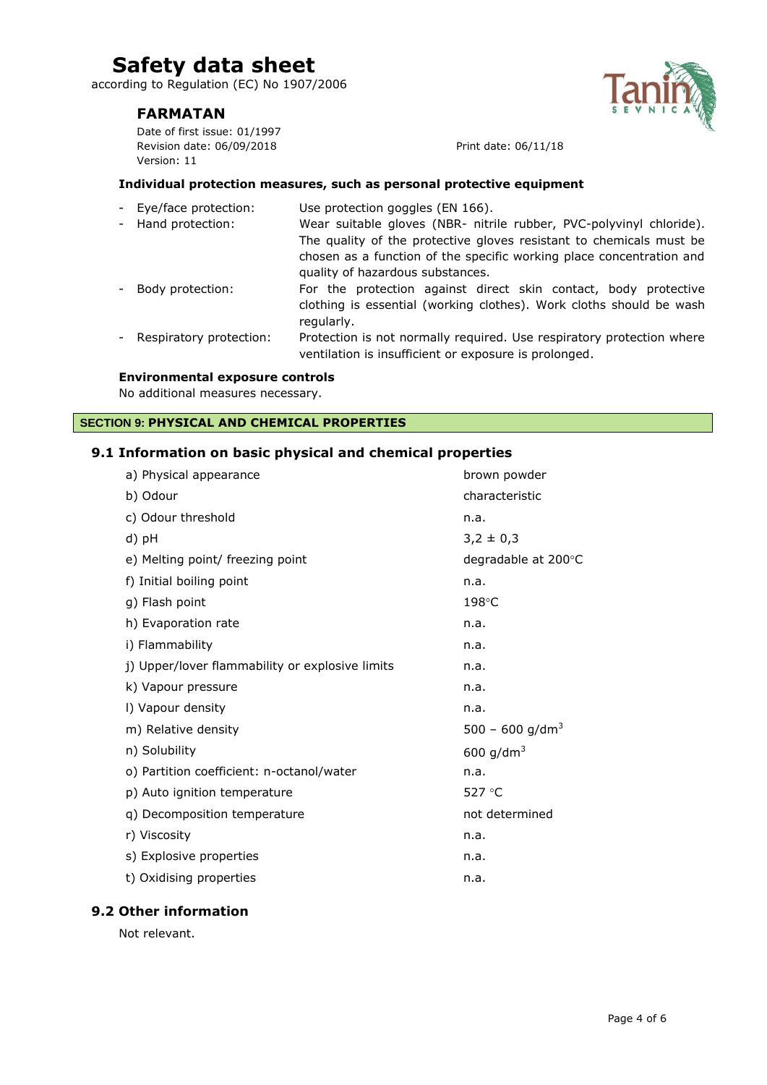according to Regulation (EC) No 1907/2006

# **FARMATAN**

Date of first issue: 01/1997 Revision date: 06/09/2018 Print date: 06/11/18 Version: 11

#### **Individual protection measures, such as personal protective equipment**

- Eye/face protection: Use protection goggles (EN 166). - Hand protection: Wear suitable gloves (NBR- nitrile rubber, PVC-polyvinyl chloride). The quality of the protective gloves resistant to chemicals must be chosen as a function of the specific working place concentration and quality of hazardous substances. - Body protection: For the protection against direct skin contact, body protective clothing is essential (working clothes). Work cloths should be wash regularly. - Respiratory protection: Protection is not normally required. Use respiratory protection where
- ventilation is insufficient or exposure is prolonged.

#### **Environmental exposure controls**

No additional measures necessary.

# **SECTION 9: PHYSICAL AND CHEMICAL PROPERTIES**

#### **9.1 Information on basic physical and chemical properties**

| a) Physical appearance                          | brown powder                |
|-------------------------------------------------|-----------------------------|
| b) Odour                                        | characteristic              |
| c) Odour threshold                              | n.a.                        |
| d) pH                                           | $3,2 \pm 0,3$               |
| e) Melting point/ freezing point                | degradable at 200°C         |
| f) Initial boiling point                        | n.a.                        |
| g) Flash point                                  | 198°C                       |
| h) Evaporation rate                             | n.a.                        |
| i) Flammability                                 | n.a.                        |
| j) Upper/lover flammability or explosive limits | n.a.                        |
| k) Vapour pressure                              | n.a.                        |
| I) Vapour density                               | n.a.                        |
| m) Relative density                             | 500 - 600 g/dm <sup>3</sup> |
| n) Solubility                                   | 600 g/dm <sup>3</sup>       |
| o) Partition coefficient: n-octanol/water       | n.a.                        |
| p) Auto ignition temperature                    | 527 °C                      |
| q) Decomposition temperature                    | not determined              |
| r) Viscosity                                    | n.a.                        |
| s) Explosive properties                         | n.a.                        |
| t) Oxidising properties                         | n.a.                        |
|                                                 |                             |

# **9.2 Other information**

Not relevant.

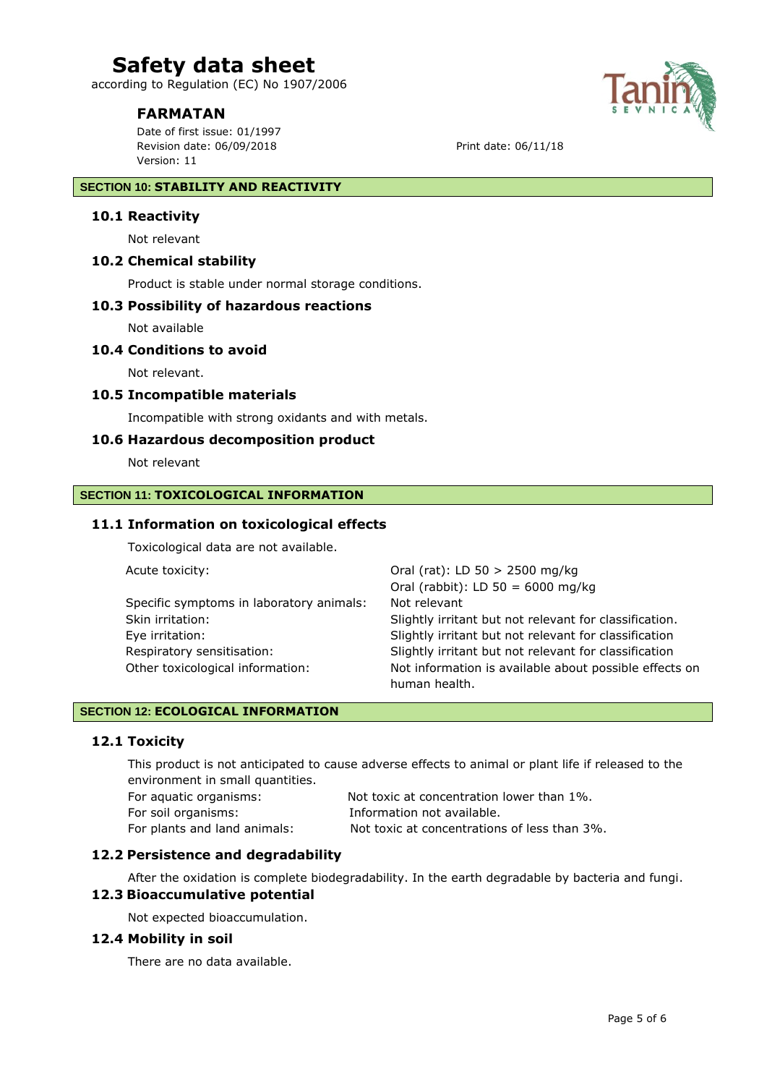according to Regulation (EC) No 1907/2006

# **FARMATAN**

Date of first issue: 01/1997 Revision date: 06/09/2018 Print date: 06/11/18 Version: 11

#### **SECTION 10: STABILITY AND REACTIVITY**

#### **10.1 Reactivity**

Not relevant

## **10.2 Chemical stability**

Product is stable under normal storage conditions.

#### **10.3 Possibility of hazardous reactions**

Not available

### **10.4 Conditions to avoid**

Not relevant.

# **10.5 Incompatible materials**

Incompatible with strong oxidants and with metals.

#### **10.6 Hazardous decomposition product**

Not relevant

#### **SECTION 11: TOXICOLOGICAL INFORMATION**

#### **11.1 Information on toxicological effects**

Toxicological data are not available.

Acute toxicity:  $Oral (rat): LD 50 > 2500 mg/kg$ 

|                                          | Oral (rabbit): LD $50 = 6000$ mg/kg                    |
|------------------------------------------|--------------------------------------------------------|
| Specific symptoms in laboratory animals: | Not relevant                                           |
| Skin irritation:                         | Slightly irritant but not relevant for classification. |
| Eye irritation:                          | Slightly irritant but not relevant for classification  |
| Respiratory sensitisation:               | Slightly irritant but not relevant for classification  |
| Other toxicological information:         | Not information is available about possible effects on |
|                                          | human health.                                          |

# **SECTION 12: ECOLOGICAL INFORMATION**

#### **12.1 Toxicity**

This product is not anticipated to cause adverse effects to animal or plant life if released to the environment in small quantities.

| For aquatic organisms:       | Not toxic at concentration lower than 1%.    |
|------------------------------|----------------------------------------------|
| For soil organisms:          | Information not available.                   |
| For plants and land animals: | Not toxic at concentrations of less than 3%. |

# **12.2 Persistence and degradability**

After the oxidation is complete biodegradability. In the earth degradable by bacteria and fungi.

# **12.3 Bioaccumulative potential**

Not expected bioaccumulation.

#### **12.4 Mobility in soil**

There are no data available.